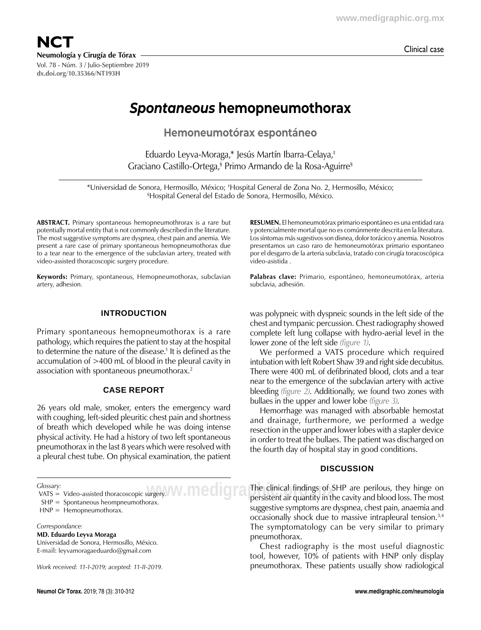**NCT** Clinical case **Neumología y Cirugía de Tórax** Vol. 78 - Núm. 3 / Julio-Septiembre 2019

**dx.doi.org/10.35366/NT193H**

*Spontaneous* **hemopneumothorax**

**Hemoneumotórax espontáneo**

Eduardo Leyva-Moraga,\* Jesús Martín Ibarra-Celaya,‡ Graciano Castillo-Ortega,§ Primo Armando de la Rosa-Aguirre§

\*Universidad de Sonora, Hermosillo, México; ‡ Hospital General de Zona No. 2, Hermosillo, México; § Hospital General del Estado de Sonora, Hermosillo, México.

**ABSTRACT.** Primary spontaneous hemopneumothrorax is a rare but potentially mortal entity that is not commonly described in the literature. The most suggestive symptoms are dyspnea, chest pain and anemia. We present a rare case of primary spontaneous hemopneumothorax due to a tear near to the emergence of the subclavian artery, treated with video-assisted thoracoscopic surgery procedure.

**Keywords:** Primary, spontaneous, Hemopneumothorax, subclavian artery, adhesion.

# **Introduction**

Primary spontaneous hemopneumothorax is a rare pathology, which requires the patient to stay at the hospital to determine the nature of the disease.<sup>1</sup> It is defined as the accumulation of >400 mL of blood in the pleural cavity in association with spontaneous pneumothorax.<sup>2</sup>

### **Case report**

26 years old male, smoker, enters the emergency ward with coughing, left-sided pleuritic chest pain and shortness of breath which developed while he was doing intense physical activity. He had a history of two left spontaneous pneumothorax in the last 8 years which were resolved with a pleural chest tube. On physical examination, the patient

*Glossary:*

*Correspondance:*

**MD. Eduardo Leyva Moraga**

Universidad de Sonora, Hermosillo, México. **E-mail:** leyvamoragaeduardo@gmail.com

*Work received: 11-I-2019; acepted: 11-II-2019.*

**RESUMEN.** El hemoneumotórax primario espontáneo es una entidad rara y potencialmente mortal que no es comúnmente descrita en la literatura. Los síntomas más sugestivos son disnea, dolor torácico y anemia. Nosotros presentamos un caso raro de hemoneumotórax primario espontaneo por el desgarro de la arteria subclavia, tratado con cirugía toracoscópica video-asistida .

**Palabras clave:** Primario, espontáneo, hemoneumotórax, arteria subclavia, adhesión.

was polypneic with dyspneic sounds in the left side of the chest and tympanic percussion. Chest radiography showed complete left lung collapse with hydro-aerial level in the lower zone of the left side *(figure 1)*.

We performed a VATS procedure which required intubation with left Robert Shaw 39 and right side decubitus. There were 400 mL of defibrinated blood, clots and a tear near to the emergence of the subclavian artery with active bleeding *(figure 2)*. Additionally, we found two zones with bullaes in the upper and lower lobe *(figure 3)*.

Hemorrhage was managed with absorbable hemostat and drainage, furthermore, we performed a wedge resection in the upper and lower lobes with a stapler device in order to treat the bullaes. The patient was discharged on the fourth day of hospital stay in good conditions.

### **Discussion**

**W.MCOIGFA** The clinical findings of SHP are perilous, they hinge on persistent air quantity in the cavity and blood loss. The most The clinical findings of SHP are perilous, they hinge on suggestive symptoms are dyspnea, chest pain, anaemia and occasionally shock due to massive intrapleural tension.3,4 The symptomatology can be very similar to primary pneumothorax.

> Chest radiography is the most useful diagnostic tool, however, 10% of patients with HNP only display pneumothorax. These patients usually show radiological

VATS = Video-assisted thoracoscopic surgery.

SHP = Spontaneous heompneumothorax.

HNP = Hemopneumothorax.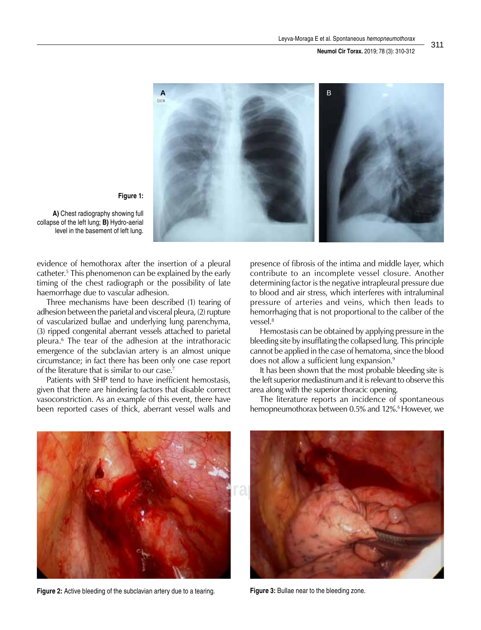#### **Neumol Cir Torax.** 2019; 78 (3): 310-312



**Figure 1:**

**A)** Chest radiography showing full collapse of the left lung; **B)** Hydro-aerial level in the basement of left lung.

evidence of hemothorax after the insertion of a pleural catheter.5 This phenomenon can be explained by the early timing of the chest radiograph or the possibility of late haemorrhage due to vascular adhesion.

Three mechanisms have been described (1) tearing of adhesion between the parietal and visceral pleura, (2) rupture of vascularized bullae and underlying lung parenchyma, (3) ripped congenital aberrant vessels attached to parietal pleura.6 The tear of the adhesion at the intrathoracic emergence of the subclavian artery is an almost unique circumstance; in fact there has been only one case report of the literature that is similar to our case.<sup>7</sup>

Patients with SHP tend to have inefficient hemostasis, given that there are hindering factors that disable correct vasoconstriction. As an example of this event, there have been reported cases of thick, aberrant vessel walls and

presence of fibrosis of the intima and middle layer, which contribute to an incomplete vessel closure. Another determining factor is the negative intrapleural pressure due to blood and air stress, which interferes with intraluminal pressure of arteries and veins, which then leads to hemorrhaging that is not proportional to the caliber of the vessel.8

Hemostasis can be obtained by applying pressure in the bleeding site by insufflating the collapsed lung. This principle cannot be applied in the case of hematoma, since the blood does not allow a sufficient lung expansion.9

It has been shown that the most probable bleeding site is the left superior mediastinum and it is relevant to observe this area along with the superior thoracic opening.

The literature reports an incidence of spontaneous hemopneumothorax between 0.5% and 12%.<sup>6</sup> However, we



**Figure 2:** Active bleeding of the subclavian artery due to a tearing. **Figure 3:** Bullae near to the bleeding zone.